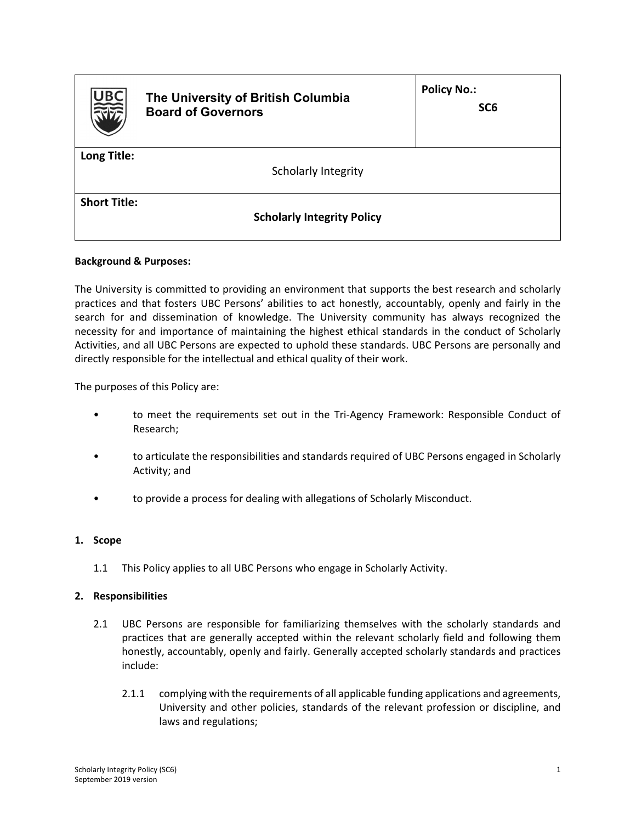| <b>UBC</b><br>RIE   | The University of British Columbia<br><b>Board of Governors</b> | <b>Policy No.:</b><br>SC <sub>6</sub> |
|---------------------|-----------------------------------------------------------------|---------------------------------------|
| Long Title:         | Scholarly Integrity                                             |                                       |
| <b>Short Title:</b> | <b>Scholarly Integrity Policy</b>                               |                                       |

## **Background & Purposes:**

The University is committed to providing an environment that supports the best research and scholarly practices and that fosters UBC Persons' abilities to act honestly, accountably, openly and fairly in the search for and dissemination of knowledge. The University community has always recognized the necessity for and importance of maintaining the highest ethical standards in the conduct of Scholarly Activities, and all UBC Persons are expected to uphold these standards. UBC Persons are personally and directly responsible for the intellectual and ethical quality of their work.

The purposes of this Policy are:

- to meet the requirements set out in the Tri-Agency Framework: Responsible Conduct of Research;
- to articulate the responsibilities and standards required of UBC Persons engaged in Scholarly Activity; and
- to provide a process for dealing with allegations of Scholarly Misconduct.

#### **1. Scope**

1.1 This Policy applies to all UBC Persons who engage in Scholarly Activity.

#### **2. Responsibilities**

- 2.1 UBC Persons are responsible for familiarizing themselves with the scholarly standards and practices that are generally accepted within the relevant scholarly field and following them honestly, accountably, openly and fairly. Generally accepted scholarly standards and practices include:
	- 2.1.1 complying with the requirements of all applicable funding applications and agreements, University and other policies, standards of the relevant profession or discipline, and laws and regulations;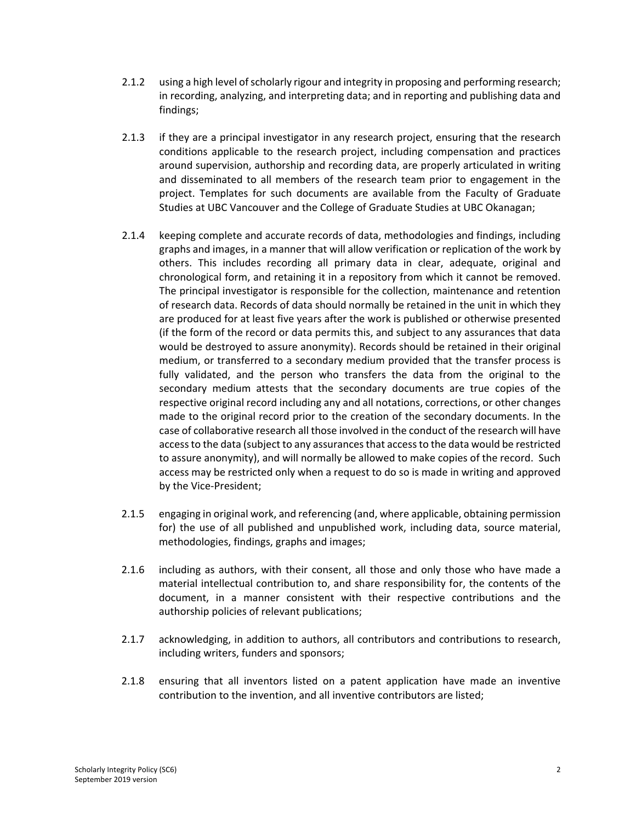- 2.1.2 using a high level of scholarly rigour and integrity in proposing and performing research; in recording, analyzing, and interpreting data; and in reporting and publishing data and findings;
- 2.1.3 if they are a principal investigator in any research project, ensuring that the research conditions applicable to the research project, including compensation and practices around supervision, authorship and recording data, are properly articulated in writing and disseminated to all members of the research team prior to engagement in the project. Templates for such documents are available from the Faculty of Graduate Studies at UBC Vancouver and the College of Graduate Studies at UBC Okanagan;
- 2.1.4 keeping complete and accurate records of data, methodologies and findings, including graphs and images, in a manner that will allow verification or replication of the work by others. This includes recording all primary data in clear, adequate, original and chronological form, and retaining it in a repository from which it cannot be removed. The principal investigator is responsible for the collection, maintenance and retention of research data. Records of data should normally be retained in the unit in which they are produced for at least five years after the work is published or otherwise presented (if the form of the record or data permits this, and subject to any assurances that data would be destroyed to assure anonymity). Records should be retained in their original medium, or transferred to a secondary medium provided that the transfer process is fully validated, and the person who transfers the data from the original to the secondary medium attests that the secondary documents are true copies of the respective original record including any and all notations, corrections, or other changes made to the original record prior to the creation of the secondary documents. In the case of collaborative research all those involved in the conduct of the research will have accessto the data (subject to any assurancesthat accessto the data would be restricted to assure anonymity), and will normally be allowed to make copies of the record. Such access may be restricted only when a request to do so is made in writing and approved by the Vice‐President;
- 2.1.5 engaging in original work, and referencing (and, where applicable, obtaining permission for) the use of all published and unpublished work, including data, source material, methodologies, findings, graphs and images;
- 2.1.6 including as authors, with their consent, all those and only those who have made a material intellectual contribution to, and share responsibility for, the contents of the document, in a manner consistent with their respective contributions and the authorship policies of relevant publications;
- 2.1.7 acknowledging, in addition to authors, all contributors and contributions to research, including writers, funders and sponsors;
- 2.1.8 ensuring that all inventors listed on a patent application have made an inventive contribution to the invention, and all inventive contributors are listed;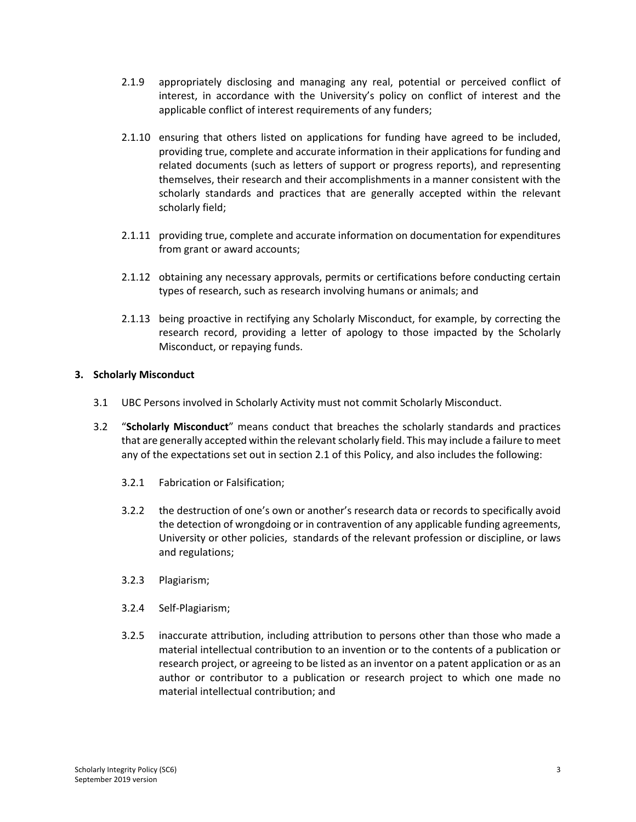- 2.1.9 appropriately disclosing and managing any real, potential or perceived conflict of interest, in accordance with the University's policy on conflict of interest and the applicable conflict of interest requirements of any funders;
- 2.1.10 ensuring that others listed on applications for funding have agreed to be included, providing true, complete and accurate information in their applications for funding and related documents (such as letters of support or progress reports), and representing themselves, their research and their accomplishments in a manner consistent with the scholarly standards and practices that are generally accepted within the relevant scholarly field;
- 2.1.11 providing true, complete and accurate information on documentation for expenditures from grant or award accounts;
- 2.1.12 obtaining any necessary approvals, permits or certifications before conducting certain types of research, such as research involving humans or animals; and
- 2.1.13 being proactive in rectifying any Scholarly Misconduct, for example, by correcting the research record, providing a letter of apology to those impacted by the Scholarly Misconduct, or repaying funds.

# **3. Scholarly Misconduct**

- 3.1 UBC Persons involved in Scholarly Activity must not commit Scholarly Misconduct.
- 3.2 "**Scholarly Misconduct**" means conduct that breaches the scholarly standards and practices that are generally accepted within the relevant scholarly field. This may include a failure to meet any of the expectations set out in section 2.1 of this Policy, and also includes the following:
	- 3.2.1 Fabrication or Falsification;
	- 3.2.2 the destruction of one's own or another's research data or records to specifically avoid the detection of wrongdoing or in contravention of any applicable funding agreements, University or other policies, standards of the relevant profession or discipline, or laws and regulations;
	- 3.2.3 Plagiarism;
	- 3.2.4 Self‐Plagiarism;
	- 3.2.5 inaccurate attribution, including attribution to persons other than those who made a material intellectual contribution to an invention or to the contents of a publication or research project, or agreeing to be listed as an inventor on a patent application or as an author or contributor to a publication or research project to which one made no material intellectual contribution; and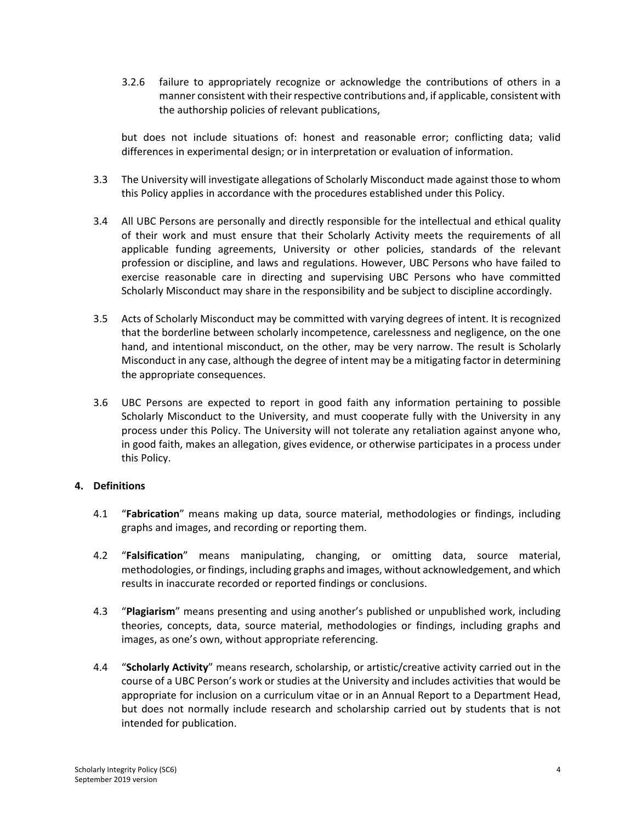3.2.6 failure to appropriately recognize or acknowledge the contributions of others in a manner consistent with their respective contributions and, if applicable, consistent with the authorship policies of relevant publications,

but does not include situations of: honest and reasonable error; conflicting data; valid differences in experimental design; or in interpretation or evaluation of information.

- 3.3 The University will investigate allegations of Scholarly Misconduct made against those to whom this Policy applies in accordance with the procedures established under this Policy.
- 3.4 All UBC Persons are personally and directly responsible for the intellectual and ethical quality of their work and must ensure that their Scholarly Activity meets the requirements of all applicable funding agreements, University or other policies, standards of the relevant profession or discipline, and laws and regulations. However, UBC Persons who have failed to exercise reasonable care in directing and supervising UBC Persons who have committed Scholarly Misconduct may share in the responsibility and be subject to discipline accordingly.
- 3.5 Acts of Scholarly Misconduct may be committed with varying degrees of intent. It is recognized that the borderline between scholarly incompetence, carelessness and negligence, on the one hand, and intentional misconduct, on the other, may be very narrow. The result is Scholarly Misconduct in any case, although the degree of intent may be a mitigating factor in determining the appropriate consequences.
- 3.6 UBC Persons are expected to report in good faith any information pertaining to possible Scholarly Misconduct to the University, and must cooperate fully with the University in any process under this Policy. The University will not tolerate any retaliation against anyone who, in good faith, makes an allegation, gives evidence, or otherwise participates in a process under this Policy.

## **4. Definitions**

- 4.1 "**Fabrication**" means making up data, source material, methodologies or findings, including graphs and images, and recording or reporting them.
- 4.2 "**Falsification**" means manipulating, changing, or omitting data, source material, methodologies, or findings, including graphs and images, without acknowledgement, and which results in inaccurate recorded or reported findings or conclusions.
- 4.3 "**Plagiarism**" means presenting and using another's published or unpublished work, including theories, concepts, data, source material, methodologies or findings, including graphs and images, as one's own, without appropriate referencing.
- 4.4 "**Scholarly Activity**" means research, scholarship, or artistic/creative activity carried out in the course of a UBC Person's work or studies at the University and includes activities that would be appropriate for inclusion on a curriculum vitae or in an Annual Report to a Department Head, but does not normally include research and scholarship carried out by students that is not intended for publication.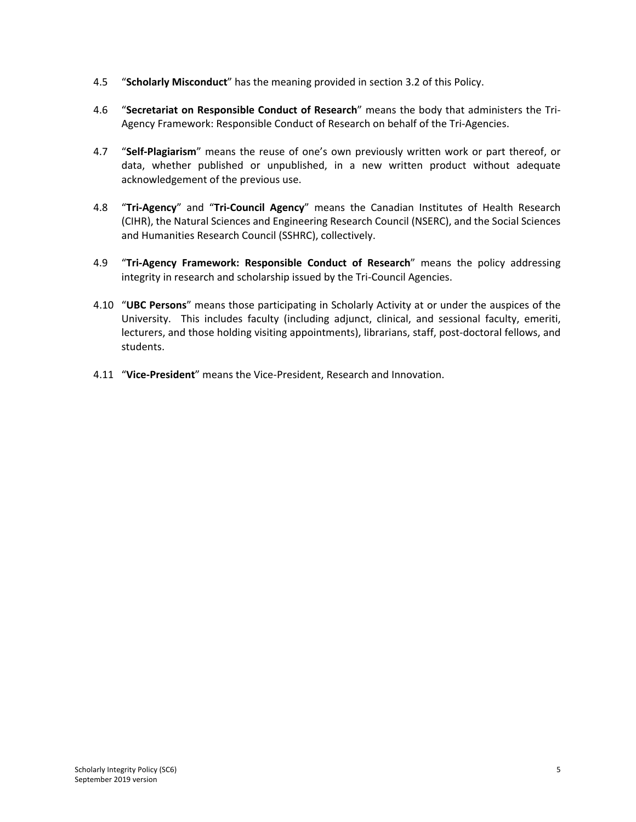- 4.5 "**Scholarly Misconduct**" has the meaning provided in section 3.2 of this Policy.
- 4.6 "**Secretariat on Responsible Conduct of Research**" means the body that administers the Tri‐ Agency Framework: Responsible Conduct of Research on behalf of the Tri‐Agencies.
- 4.7 "**Self‐Plagiarism**" means the reuse of one's own previously written work or part thereof, or data, whether published or unpublished, in a new written product without adequate acknowledgement of the previous use.
- 4.8 "**Tri‐Agency**" and "**Tri‐Council Agency**" means the Canadian Institutes of Health Research (CIHR), the Natural Sciences and Engineering Research Council (NSERC), and the Social Sciences and Humanities Research Council (SSHRC), collectively.
- 4.9 "**Tri‐Agency Framework: Responsible Conduct of Research**" means the policy addressing integrity in research and scholarship issued by the Tri‐Council Agencies.
- 4.10 "**UBC Persons**" means those participating in Scholarly Activity at or under the auspices of the University. This includes faculty (including adjunct, clinical, and sessional faculty, emeriti, lecturers, and those holding visiting appointments), librarians, staff, post-doctoral fellows, and students.
- 4.11 "**Vice‐President**" means the Vice‐President, Research and Innovation.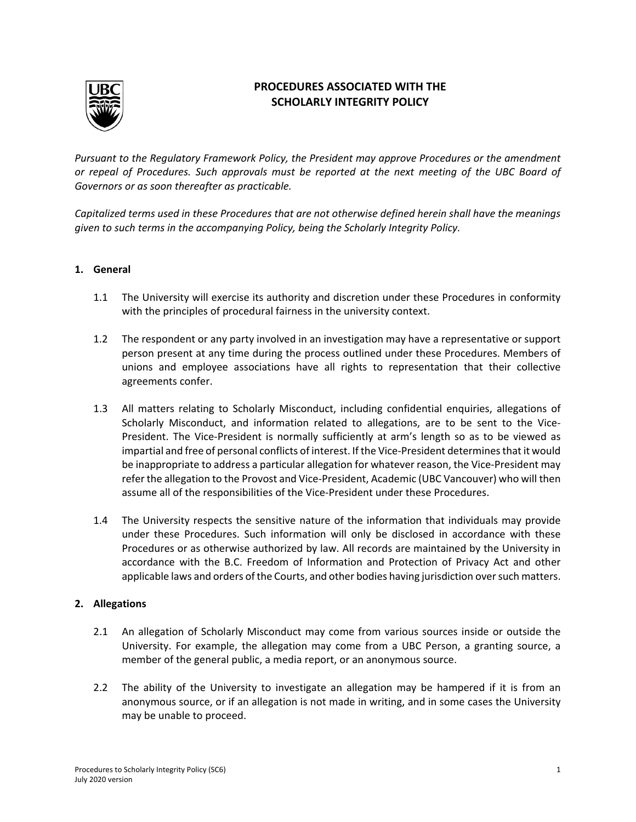

# **PROCEDURES ASSOCIATED WITH THE SCHOLARLY INTEGRITY POLICY**

*Pursuant to the Regulatory Framework Policy, the President may approve Procedures or the amendment or repeal of Procedures. Such approvals must be reported at the next meeting of the UBC Board of Governors or as soon thereafter as practicable.*

*Capitalized terms used in these Procedures that are not otherwise defined herein shall have the meanings given to such terms in the accompanying Policy, being the Scholarly Integrity Policy.*

#### **1. General**

- 1.1 The University will exercise its authority and discretion under these Procedures in conformity with the principles of procedural fairness in the university context.
- 1.2 The respondent or any party involved in an investigation may have a representative or support person present at any time during the process outlined under these Procedures. Members of unions and employee associations have all rights to representation that their collective agreements confer.
- 1.3 All matters relating to Scholarly Misconduct, including confidential enquiries, allegations of Scholarly Misconduct, and information related to allegations, are to be sent to the Vice-President. The Vice‐President is normally sufficiently at arm's length so as to be viewed as impartial and free of personal conflicts of interest. If the Vice-President determines that it would be inappropriate to address a particular allegation for whatever reason, the Vice-President may refer the allegation to the Provost and Vice‐President, Academic (UBC Vancouver) who will then assume all of the responsibilities of the Vice‐President under these Procedures.
- 1.4 The University respects the sensitive nature of the information that individuals may provide under these Procedures. Such information will only be disclosed in accordance with these Procedures or as otherwise authorized by law. All records are maintained by the University in accordance with the B.C. Freedom of Information and Protection of Privacy Act and other applicable laws and orders of the Courts, and other bodies having jurisdiction oversuch matters.

## **2. Allegations**

- 2.1 An allegation of Scholarly Misconduct may come from various sources inside or outside the University. For example, the allegation may come from a UBC Person, a granting source, a member of the general public, a media report, or an anonymous source.
- 2.2 The ability of the University to investigate an allegation may be hampered if it is from an anonymous source, or if an allegation is not made in writing, and in some cases the University may be unable to proceed.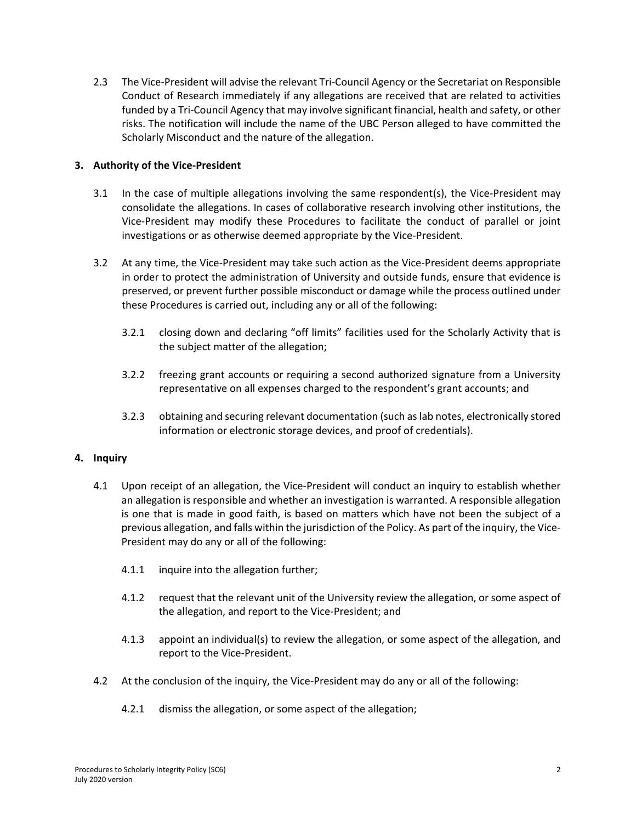2.3 The Vice‐President will advise the relevant Tri‐Council Agency or the Secretariat on Responsible Conduct of Research immediately if any allegations are received that are related to activities funded by a Tri‐Council Agency that may involve significant financial, health and safety, or other risks. The notification will include the name of the UBC Person alleged to have committed the Scholarly Misconduct and the nature of the allegation.

## **3. Authority of the Vice‐President**

- 3.1 In the case of multiple allegations involving the same respondent(s), the Vice-President may consolidate the allegations. In cases of collaborative research involving other institutions, the Vice‐President may modify these Procedures to facilitate the conduct of parallel or joint investigations or as otherwise deemed appropriate by the Vice‐President.
- 3.2 At any time, the Vice-President may take such action as the Vice-President deems appropriate in order to protect the administration of University and outside funds, ensure that evidence is preserved, or prevent further possible misconduct or damage while the process outlined under these Procedures is carried out, including any or all of the following:
	- 3.2.1 closing down and declaring "off limits" facilities used for the Scholarly Activity that is the subject matter of the allegation;
	- 3.2.2 freezing grant accounts or requiring a second authorized signature from a University representative on all expenses charged to the respondent's grant accounts; and
	- 3.2.3 obtaining and securing relevant documentation (such aslab notes, electronically stored information or electronic storage devices, and proof of credentials).

## **4. Inquiry**

- 4.1 Upon receipt of an allegation, the Vice-President will conduct an inquiry to establish whether an allegation is responsible and whether an investigation is warranted. A responsible allegation is one that is made in good faith, is based on matters which have not been the subject of a previous allegation, and falls within the jurisdiction of the Policy. As part of the inquiry, the Vice‐ President may do any or all of the following:
	- 4.1.1 inquire into the allegation further;
	- 4.1.2 request that the relevant unit of the University review the allegation, or some aspect of the allegation, and report to the Vice‐President; and
	- 4.1.3 appoint an individual(s) to review the allegation, or some aspect of the allegation, and report to the Vice‐President.
- 4.2 At the conclusion of the inquiry, the Vice-President may do any or all of the following:
	- 4.2.1 dismiss the allegation, or some aspect of the allegation;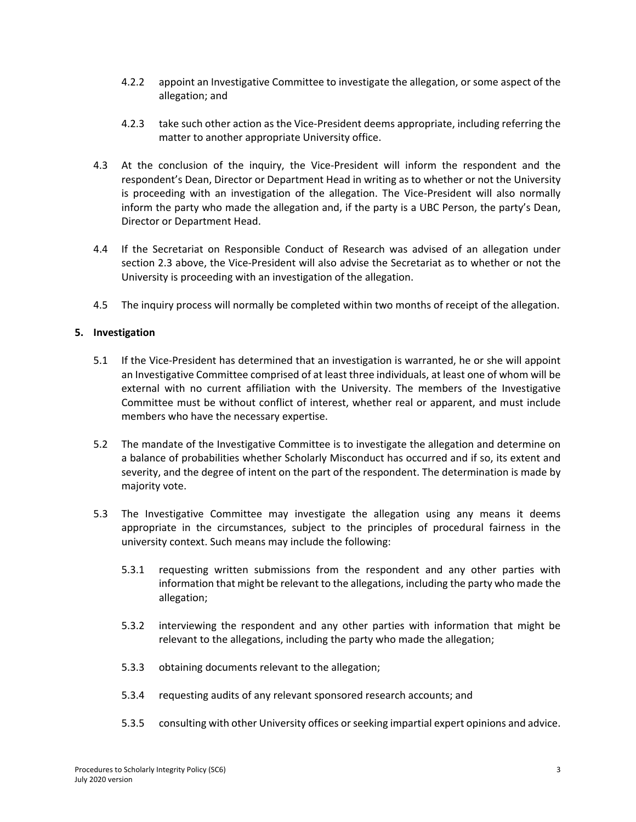- 4.2.2 appoint an Investigative Committee to investigate the allegation, or some aspect of the allegation; and
- 4.2.3 take such other action as the Vice-President deems appropriate, including referring the matter to another appropriate University office.
- 4.3 At the conclusion of the inquiry, the Vice-President will inform the respondent and the respondent's Dean, Director or Department Head in writing as to whether or not the University is proceeding with an investigation of the allegation. The Vice-President will also normally inform the party who made the allegation and, if the party is a UBC Person, the party's Dean, Director or Department Head.
- 4.4 If the Secretariat on Responsible Conduct of Research was advised of an allegation under section 2.3 above, the Vice-President will also advise the Secretariat as to whether or not the University is proceeding with an investigation of the allegation.
- 4.5 The inquiry process will normally be completed within two months of receipt of the allegation.

# **5. Investigation**

- 5.1 If the Vice-President has determined that an investigation is warranted, he or she will appoint an Investigative Committee comprised of at least three individuals, at least one of whom will be external with no current affiliation with the University. The members of the Investigative Committee must be without conflict of interest, whether real or apparent, and must include members who have the necessary expertise.
- 5.2 The mandate of the Investigative Committee is to investigate the allegation and determine on a balance of probabilities whether Scholarly Misconduct has occurred and if so, its extent and severity, and the degree of intent on the part of the respondent. The determination is made by majority vote.
- 5.3 The Investigative Committee may investigate the allegation using any means it deems appropriate in the circumstances, subject to the principles of procedural fairness in the university context. Such means may include the following:
	- 5.3.1 requesting written submissions from the respondent and any other parties with information that might be relevant to the allegations, including the party who made the allegation;
	- 5.3.2 interviewing the respondent and any other parties with information that might be relevant to the allegations, including the party who made the allegation;
	- 5.3.3 obtaining documents relevant to the allegation;
	- 5.3.4 requesting audits of any relevant sponsored research accounts; and
	- 5.3.5 consulting with other University offices orseeking impartial expert opinions and advice.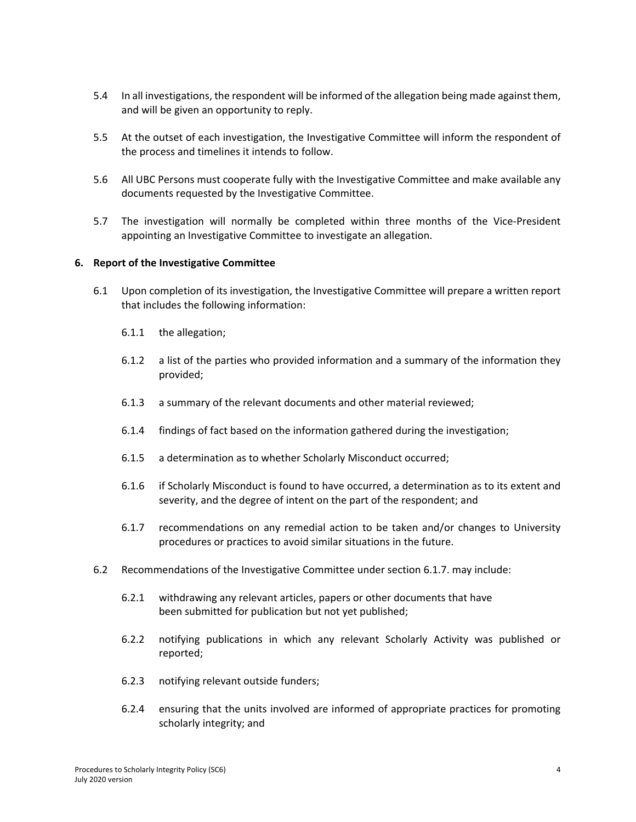- 5.4 In all investigations, the respondent will be informed of the allegation being made against them, and will be given an opportunity to reply.
- 5.5 At the outset of each investigation, the Investigative Committee will inform the respondent of the process and timelines it intends to follow.
- 5.6 All UBC Persons must cooperate fully with the Investigative Committee and make available any documents requested by the Investigative Committee.
- 5.7 The investigation will normally be completed within three months of the Vice-President appointing an Investigative Committee to investigate an allegation.

## **6. Report of the Investigative Committee**

- 6.1 Upon completion of its investigation, the Investigative Committee will prepare a written report that includes the following information:
	- 6.1.1 the allegation;
	- 6.1.2 a list of the parties who provided information and a summary of the information they provided;
	- 6.1.3 a summary of the relevant documents and other material reviewed;
	- 6.1.4 findings of fact based on the information gathered during the investigation;
	- 6.1.5 a determination as to whether Scholarly Misconduct occurred;
	- 6.1.6 if Scholarly Misconduct is found to have occurred, a determination as to its extent and severity, and the degree of intent on the part of the respondent; and
	- 6.1.7 recommendations on any remedial action to be taken and/or changes to University procedures or practices to avoid similar situations in the future.
- 6.2 Recommendations of the Investigative Committee under section 6.1.7. may include:
	- 6.2.1 withdrawing any relevant articles, papers or other documents that have been submitted for publication but not yet published;
	- 6.2.2 notifying publications in which any relevant Scholarly Activity was published or reported;
	- 6.2.3 notifying relevant outside funders;
	- 6.2.4 ensuring that the units involved are informed of appropriate practices for promoting scholarly integrity; and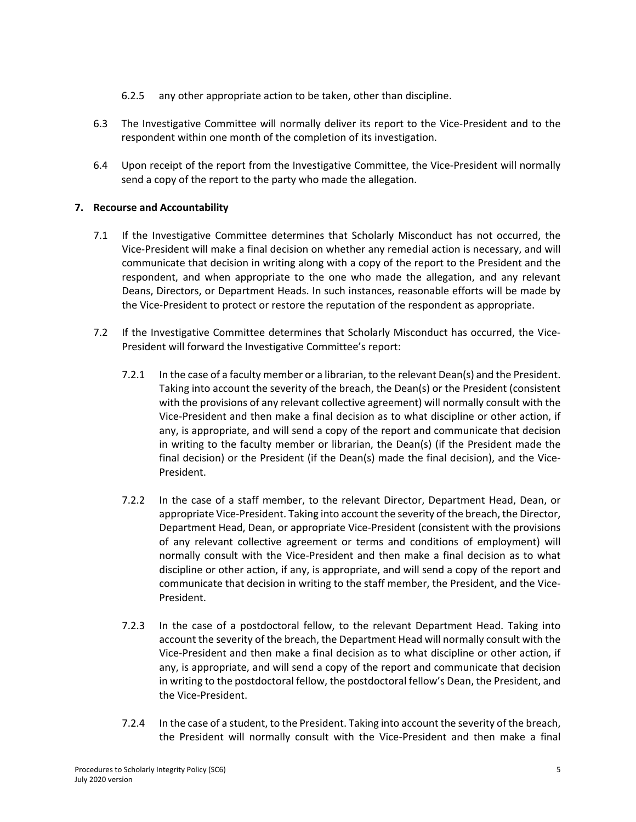- 6.2.5 any other appropriate action to be taken, other than discipline.
- 6.3 The Investigative Committee will normally deliver its report to the Vice‐President and to the respondent within one month of the completion of its investigation.
- 6.4 Upon receipt of the report from the Investigative Committee, the Vice-President will normally send a copy of the report to the party who made the allegation.

## **7. Recourse and Accountability**

- 7.1 If the Investigative Committee determines that Scholarly Misconduct has not occurred, the Vice‐President will make a final decision on whether any remedial action is necessary, and will communicate that decision in writing along with a copy of the report to the President and the respondent, and when appropriate to the one who made the allegation, and any relevant Deans, Directors, or Department Heads. In such instances, reasonable efforts will be made by the Vice‐President to protect or restore the reputation of the respondent as appropriate.
- 7.2 If the Investigative Committee determines that Scholarly Misconduct has occurred, the Vice-President will forward the Investigative Committee's report:
	- 7.2.1 In the case of a faculty member or a librarian, to the relevant Dean(s) and the President. Taking into account the severity of the breach, the Dean(s) or the President (consistent with the provisions of any relevant collective agreement) will normally consult with the Vice‐President and then make a final decision as to what discipline or other action, if any, is appropriate, and will send a copy of the report and communicate that decision in writing to the faculty member or librarian, the Dean(s) (if the President made the final decision) or the President (if the Dean(s) made the final decision), and the Vice-President.
	- 7.2.2 In the case of a staff member, to the relevant Director, Department Head, Dean, or appropriate Vice‐President. Taking into account the severity of the breach, the Director, Department Head, Dean, or appropriate Vice‐President (consistent with the provisions of any relevant collective agreement or terms and conditions of employment) will normally consult with the Vice‐President and then make a final decision as to what discipline or other action, if any, is appropriate, and will send a copy of the report and communicate that decision in writing to the staff member, the President, and the Vice‐ President.
	- 7.2.3 In the case of a postdoctoral fellow, to the relevant Department Head. Taking into account the severity of the breach, the Department Head will normally consult with the Vice‐President and then make a final decision as to what discipline or other action, if any, is appropriate, and will send a copy of the report and communicate that decision in writing to the postdoctoral fellow, the postdoctoral fellow's Dean, the President, and the Vice‐President.
	- 7.2.4 In the case of a student, to the President. Taking into account the severity of the breach, the President will normally consult with the Vice‐President and then make a final